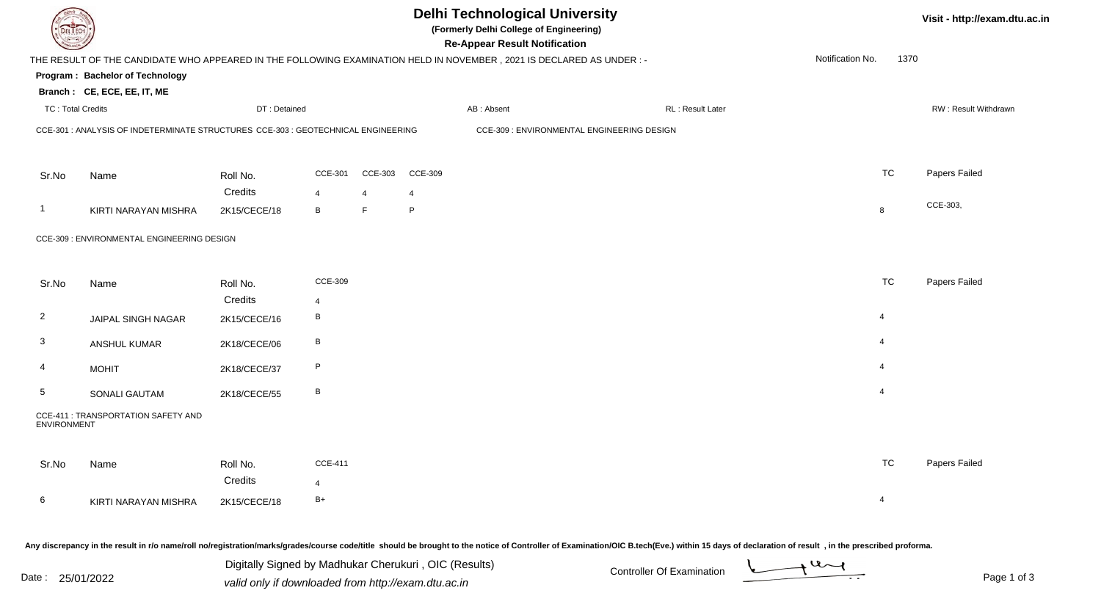|                          |                                                                                                                      |                     |                                  |                | <b>Delhi Technological University</b><br>(Formerly Delhi College of Engineering)<br><b>Re-Appear Result Notification</b> |            |                                            |                   |                  |                | Visit - http://exam.dtu.ac.in |  |
|--------------------------|----------------------------------------------------------------------------------------------------------------------|---------------------|----------------------------------|----------------|--------------------------------------------------------------------------------------------------------------------------|------------|--------------------------------------------|-------------------|------------------|----------------|-------------------------------|--|
|                          | THE RESULT OF THE CANDIDATE WHO APPEARED IN THE FOLLOWING EXAMINATION HELD IN NOVEMBER, 2021 IS DECLARED AS UNDER :- |                     |                                  |                |                                                                                                                          |            |                                            |                   | Notification No. | 1370           |                               |  |
|                          | Program: Bachelor of Technology                                                                                      |                     |                                  |                |                                                                                                                          |            |                                            |                   |                  |                |                               |  |
|                          | Branch: CE, ECE, EE, IT, ME                                                                                          |                     |                                  |                |                                                                                                                          |            |                                            |                   |                  |                |                               |  |
| <b>TC: Total Credits</b> |                                                                                                                      | DT: Detained        |                                  |                |                                                                                                                          | AB: Absent |                                            | RL : Result Later |                  |                | RW: Result Withdrawn          |  |
|                          | CCE-301 : ANALYSIS OF INDETERMINATE STRUCTURES CCE-303 : GEOTECHNICAL ENGINEERING                                    |                     |                                  |                |                                                                                                                          |            | CCE-309 : ENVIRONMENTAL ENGINEERING DESIGN |                   |                  |                |                               |  |
| Sr.No                    | Name                                                                                                                 | Roll No.            | <b>CCE-301</b>                   | <b>CCE-303</b> | <b>CCE-309</b>                                                                                                           |            |                                            |                   |                  | <b>TC</b>      | Papers Failed                 |  |
|                          |                                                                                                                      | Credits             | 4                                | $\overline{4}$ | 4                                                                                                                        |            |                                            |                   |                  |                |                               |  |
| -1                       | KIRTI NARAYAN MISHRA                                                                                                 | 2K15/CECE/18        | B                                | F.             | P                                                                                                                        |            |                                            |                   |                  | 8              | CCE-303,                      |  |
|                          | CCE-309 : ENVIRONMENTAL ENGINEERING DESIGN                                                                           |                     |                                  |                |                                                                                                                          |            |                                            |                   |                  |                |                               |  |
| Sr.No                    | Name                                                                                                                 | Roll No.            | <b>CCE-309</b>                   |                |                                                                                                                          |            |                                            |                   |                  | <b>TC</b>      | Papers Failed                 |  |
|                          |                                                                                                                      | Credits             | $\overline{4}$                   |                |                                                                                                                          |            |                                            |                   |                  |                |                               |  |
| $\overline{2}$           | JAIPAL SINGH NAGAR                                                                                                   | 2K15/CECE/16        | B                                |                |                                                                                                                          |            |                                            |                   |                  | $\overline{4}$ |                               |  |
| $\mathbf{3}$             | ANSHUL KUMAR                                                                                                         | 2K18/CECE/06        | $\, {\bf B}$                     |                |                                                                                                                          |            |                                            |                   |                  | $\overline{4}$ |                               |  |
| 4                        | <b>MOHIT</b>                                                                                                         | 2K18/CECE/37        | P                                |                |                                                                                                                          |            |                                            |                   |                  | $\overline{4}$ |                               |  |
| $5\phantom{.0}$          | SONALI GAUTAM                                                                                                        | 2K18/CECE/55        | B                                |                |                                                                                                                          |            |                                            |                   |                  | $\overline{4}$ |                               |  |
| ENVIRONMENT              | CCE-411 : TRANSPORTATION SAFETY AND                                                                                  |                     |                                  |                |                                                                                                                          |            |                                            |                   |                  |                |                               |  |
| Sr.No                    | Name                                                                                                                 | Roll No.<br>Credits | <b>CCE-411</b><br>$\overline{4}$ |                |                                                                                                                          |            |                                            |                   |                  | <b>TC</b>      | Papers Failed                 |  |
| 6                        | KIRTI NARAYAN MISHRA                                                                                                 | 2K15/CECE/18        | $B+$                             |                |                                                                                                                          |            |                                            |                   |                  | $\overline{4}$ |                               |  |

Any discrepancy in the result in r/o name/roll no/registration/marks/grades/course code/title should be brought to the notice of Controller of Examination/OIC B.tech(Eve.) within 15 days of declaration of result . in the p

|                    | Any distribution in the result in he hannon on herregional and and allegated be additional be broad the memory of the memory of the memory of the memory of the second collection of result in the present of the production o |                                  |             |
|--------------------|--------------------------------------------------------------------------------------------------------------------------------------------------------------------------------------------------------------------------------|----------------------------------|-------------|
|                    | Digitally Signed by Madhukar Cherukuri, OIC (Results)                                                                                                                                                                          | <b>Controller Of Examination</b> |             |
| Date<br>25/01/2022 | valid only if downloaded from http://exam.dtu.ac.in                                                                                                                                                                            |                                  | Page 1 of 3 |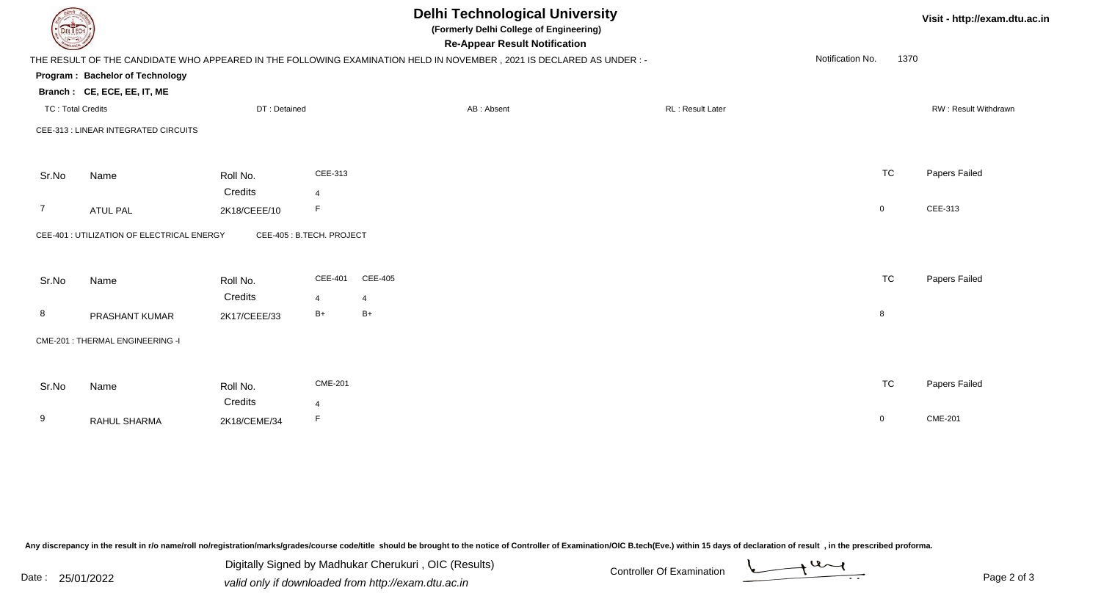|                          | <b>Delhi Technological University</b><br>(Formerly Delhi College of Engineering)<br><b>DELTECH</b><br><b>Re-Appear Result Notification</b> |                         |                           |                                                                                                                     |                  |                          |                      |  |
|--------------------------|--------------------------------------------------------------------------------------------------------------------------------------------|-------------------------|---------------------------|---------------------------------------------------------------------------------------------------------------------|------------------|--------------------------|----------------------|--|
|                          | Program: Bachelor of Technology<br>Branch: CE, ECE, EE, IT, ME                                                                             |                         |                           | THE RESULT OF THE CANDIDATE WHO APPEARED IN THE FOLLOWING EXAMINATION HELD IN NOVEMBER, 2021 IS DECLARED AS UNDER:- |                  | Notification No.<br>1370 |                      |  |
| <b>TC: Total Credits</b> |                                                                                                                                            | DT: Detained            |                           | AB: Absent                                                                                                          | RL: Result Later |                          | RW: Result Withdrawn |  |
|                          | CEE-313 : LINEAR INTEGRATED CIRCUITS                                                                                                       |                         |                           |                                                                                                                     |                  |                          |                      |  |
| Sr.No                    | Name                                                                                                                                       | Roll No.                | CEE-313                   |                                                                                                                     |                  | <b>TC</b>                | Papers Failed        |  |
| $\overline{7}$           | <b>ATUL PAL</b>                                                                                                                            | Credits<br>2K18/CEEE/10 | 4<br>F                    |                                                                                                                     |                  | $\mathbf 0$              | CEE-313              |  |
|                          | CEE-401 : UTILIZATION OF ELECTRICAL ENERGY                                                                                                 |                         | CEE-405 : B.TECH. PROJECT |                                                                                                                     |                  |                          |                      |  |
| Sr.No                    | Name                                                                                                                                       | Roll No.                | <b>CEE-401</b>            | <b>CEE-405</b>                                                                                                      |                  | <b>TC</b>                | Papers Failed        |  |
| 8                        | PRASHANT KUMAR                                                                                                                             | Credits<br>2K17/CEEE/33 | 4<br>B+                   | $\overline{4}$<br>$B+$                                                                                              |                  | 8                        |                      |  |
|                          | CME-201 : THERMAL ENGINEERING -I                                                                                                           |                         |                           |                                                                                                                     |                  |                          |                      |  |
| Sr.No                    | Name                                                                                                                                       | Roll No.<br>Credits     | <b>CME-201</b><br>4       |                                                                                                                     |                  | <b>TC</b>                | Papers Failed        |  |
| 9                        | RAHUL SHARMA                                                                                                                               | 2K18/CEME/34            | F                         |                                                                                                                     |                  | $\mathbf 0$              | <b>CME-201</b>       |  |

Any discrepancy in the result in r/o name/roll no/registration/marks/grades/course code/title should be brought to the notice of Controller of Examination/OIC B.tech(Eve.) within 15 days of declaration of result ,in the p

Digitally Signed by Madhukar Cherukuri, OIC (Results)<br>Date : 25/01/2022 valid only if downloaded from http://oxam.dtu.ac.in Digitally Signed by Madhukar Cherukuri , OIC (Results)valid only if downloaded from http://exam.dtu.ac.in